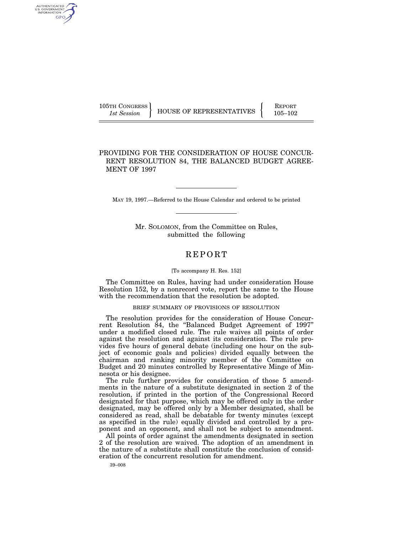AUTHENTICATED U.S. GOVERNMENT GPO

105TH CONGRESS HOUSE OF REPRESENTATIVES FEPORT 105-102

## PROVIDING FOR THE CONSIDERATION OF HOUSE CONCUR-RENT RESOLUTION 84, THE BALANCED BUDGET AGREE-MENT OF 1997

MAY 19, 1997.—Referred to the House Calendar and ordered to be printed

Mr. SOLOMON, from the Committee on Rules, submitted the following

## REPORT

## [To accompany H. Res. 152]

The Committee on Rules, having had under consideration House Resolution 152, by a nonrecord vote, report the same to the House with the recommendation that the resolution be adopted.

## BRIEF SUMMARY OF PROVISIONS OF RESOLUTION

The resolution provides for the consideration of House Concurrent Resolution 84, the ''Balanced Budget Agreement of 1997'' under a modified closed rule. The rule waives all points of order against the resolution and against its consideration. The rule provides five hours of general debate (including one hour on the subject of economic goals and policies) divided equally between the chairman and ranking minority member of the Committee on Budget and 20 minutes controlled by Representative Minge of Minnesota or his designee.

The rule further provides for consideration of those 5 amendments in the nature of a substitute designated in section 2 of the resolution, if printed in the portion of the Congressional Record designated for that purpose, which may be offered only in the order designated, may be offered only by a Member designated, shall be considered as read, shall be debatable for twenty minutes (except as specified in the rule) equally divided and controlled by a proponent and an opponent, and shall not be subject to amendment.

All points of order against the amendments designated in section 2 of the resolution are waived. The adoption of an amendment in the nature of a substitute shall constitute the conclusion of consideration of the concurrent resolution for amendment.

39–008